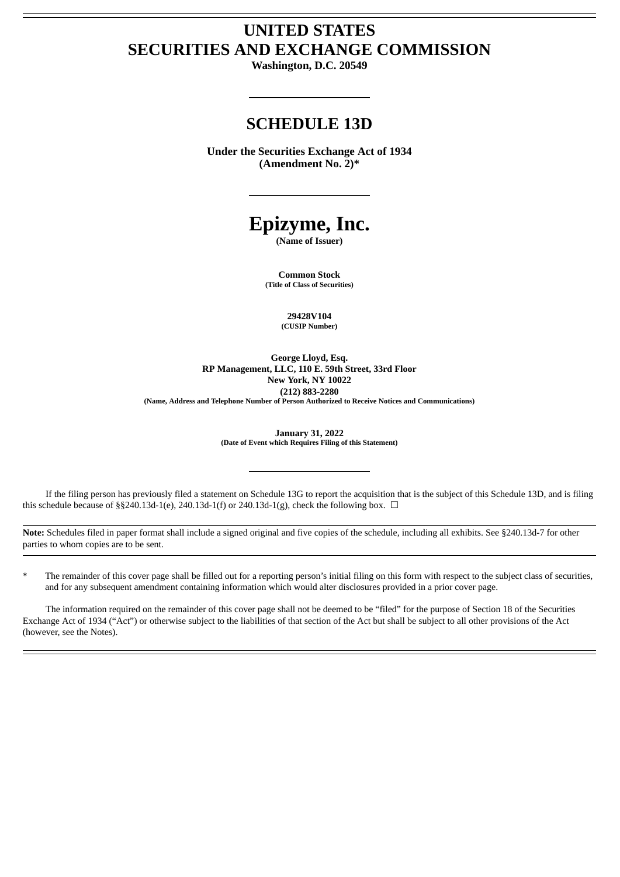# **UNITED STATES SECURITIES AND EXCHANGE COMMISSION**

**Washington, D.C. 20549**

# **SCHEDULE 13D**

**Under the Securities Exchange Act of 1934 (Amendment No. 2)\***

# **Epizyme, Inc.**

**(Name of Issuer)**

**Common Stock (Title of Class of Securities)**

> **29428V104 (CUSIP Number)**

**George Lloyd, Esq. RP Management, LLC, 110 E. 59th Street, 33rd Floor New York, NY 10022 (212) 883-2280 (Name, Address and Telephone Number of Person Authorized to Receive Notices and Communications)**

> **January 31, 2022 (Date of Event which Requires Filing of this Statement)**

If the filing person has previously filed a statement on Schedule 13G to report the acquisition that is the subject of this Schedule 13D, and is filing this schedule because of §§240.13d-1(e), 240.13d-1(f) or 240.13d-1(g), check the following box.  $\Box$ 

**Note:** Schedules filed in paper format shall include a signed original and five copies of the schedule, including all exhibits. See §240.13d-7 for other parties to whom copies are to be sent.

\* The remainder of this cover page shall be filled out for a reporting person's initial filing on this form with respect to the subject class of securities, and for any subsequent amendment containing information which would alter disclosures provided in a prior cover page.

The information required on the remainder of this cover page shall not be deemed to be "filed" for the purpose of Section 18 of the Securities Exchange Act of 1934 ("Act") or otherwise subject to the liabilities of that section of the Act but shall be subject to all other provisions of the Act (however, see the Notes).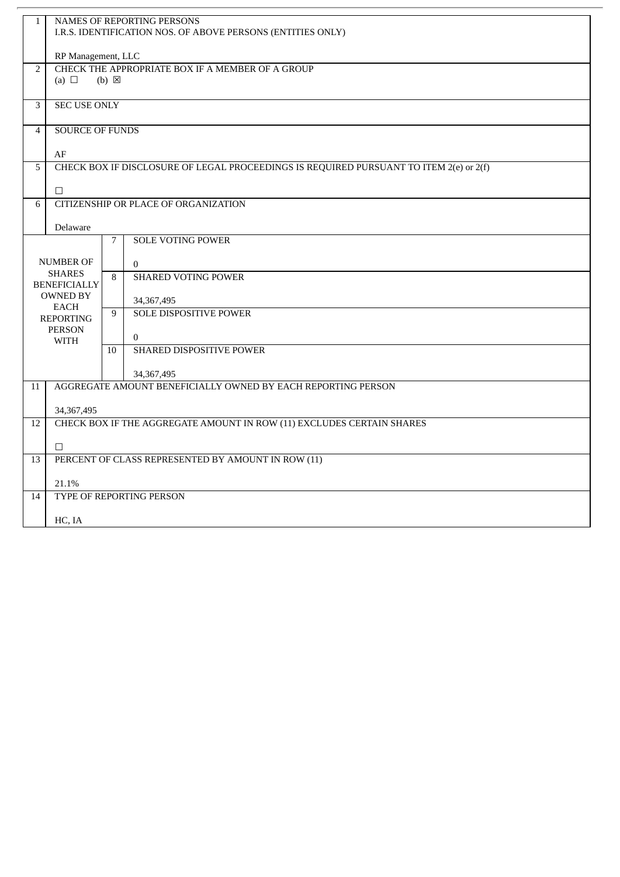|                                                                                             | $\mathbf{1}$                   | NAMES OF REPORTING PERSONS<br>I.R.S. IDENTIFICATION NOS. OF ABOVE PERSONS (ENTITIES ONLY) |    |                                                                       |  |  |  |
|---------------------------------------------------------------------------------------------|--------------------------------|-------------------------------------------------------------------------------------------|----|-----------------------------------------------------------------------|--|--|--|
|                                                                                             | RP Management, LLC             |                                                                                           |    |                                                                       |  |  |  |
|                                                                                             | 2                              | CHECK THE APPROPRIATE BOX IF A MEMBER OF A GROUP<br>(a) $\Box$<br>$(b) \boxtimes$         |    |                                                                       |  |  |  |
|                                                                                             | 3                              | <b>SEC USE ONLY</b>                                                                       |    |                                                                       |  |  |  |
| <b>SOURCE OF FUNDS</b><br>$\overline{4}$                                                    |                                |                                                                                           |    |                                                                       |  |  |  |
|                                                                                             |                                | AF                                                                                        |    |                                                                       |  |  |  |
| 5<br>CHECK BOX IF DISCLOSURE OF LEGAL PROCEEDINGS IS REQUIRED PURSUANT TO ITEM 2(e) or 2(f) |                                |                                                                                           |    |                                                                       |  |  |  |
|                                                                                             |                                | $\Box$                                                                                    |    |                                                                       |  |  |  |
|                                                                                             | 6                              |                                                                                           |    | <b>CITIZENSHIP OR PLACE OF ORGANIZATION</b>                           |  |  |  |
|                                                                                             |                                | Delaware                                                                                  |    |                                                                       |  |  |  |
|                                                                                             |                                |                                                                                           | 7  | <b>SOLE VOTING POWER</b>                                              |  |  |  |
|                                                                                             |                                |                                                                                           |    |                                                                       |  |  |  |
|                                                                                             |                                | <b>NUMBER OF</b><br><b>SHARES</b>                                                         | 8  | $\overline{0}$<br><b>SHARED VOTING POWER</b>                          |  |  |  |
|                                                                                             |                                | <b>BENEFICIALLY</b><br><b>OWNED BY</b>                                                    |    |                                                                       |  |  |  |
|                                                                                             |                                | <b>EACH</b>                                                                               |    | 34, 367, 495                                                          |  |  |  |
|                                                                                             |                                | <b>REPORTING</b><br><b>PERSON</b>                                                         | 9  | <b>SOLE DISPOSITIVE POWER</b>                                         |  |  |  |
|                                                                                             |                                | WITH                                                                                      |    | $\overline{0}$                                                        |  |  |  |
|                                                                                             |                                |                                                                                           | 10 | SHARED DISPOSITIVE POWER                                              |  |  |  |
|                                                                                             |                                |                                                                                           |    | 34, 367, 495                                                          |  |  |  |
|                                                                                             | 11                             |                                                                                           |    | AGGREGATE AMOUNT BENEFICIALLY OWNED BY EACH REPORTING PERSON          |  |  |  |
|                                                                                             |                                | 34, 367, 495                                                                              |    |                                                                       |  |  |  |
|                                                                                             | 12                             |                                                                                           |    | CHECK BOX IF THE AGGREGATE AMOUNT IN ROW (11) EXCLUDES CERTAIN SHARES |  |  |  |
|                                                                                             |                                | $\Box$                                                                                    |    |                                                                       |  |  |  |
| PERCENT OF CLASS REPRESENTED BY AMOUNT IN ROW (11)<br>13                                    |                                |                                                                                           |    |                                                                       |  |  |  |
|                                                                                             |                                | 21.1%                                                                                     |    |                                                                       |  |  |  |
|                                                                                             | TYPE OF REPORTING PERSON<br>14 |                                                                                           |    |                                                                       |  |  |  |
|                                                                                             |                                |                                                                                           |    |                                                                       |  |  |  |
|                                                                                             |                                | HC, IA                                                                                    |    |                                                                       |  |  |  |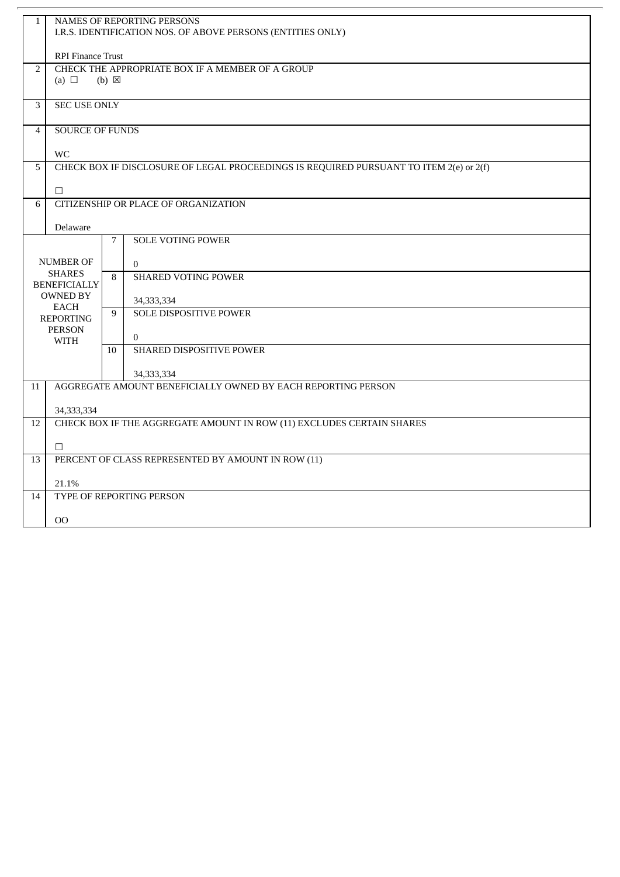| <b>SEC USE ONLY</b><br>3 |  |  |  |
|--------------------------|--|--|--|
|                          |  |  |  |
|                          |  |  |  |
|                          |  |  |  |
|                          |  |  |  |
|                          |  |  |  |
|                          |  |  |  |
|                          |  |  |  |
|                          |  |  |  |
|                          |  |  |  |
|                          |  |  |  |
|                          |  |  |  |
|                          |  |  |  |
|                          |  |  |  |
|                          |  |  |  |
|                          |  |  |  |
|                          |  |  |  |
|                          |  |  |  |
|                          |  |  |  |
|                          |  |  |  |
|                          |  |  |  |
|                          |  |  |  |
|                          |  |  |  |
|                          |  |  |  |
|                          |  |  |  |
|                          |  |  |  |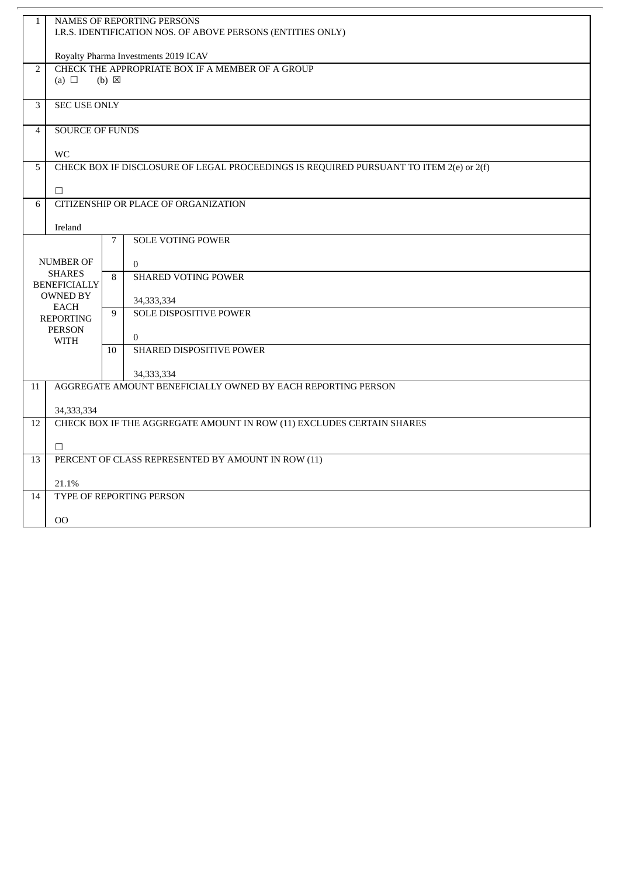| $\mathbf{1}$                                                       | NAMES OF REPORTING PERSONS<br>I.R.S. IDENTIFICATION NOS. OF ABOVE PERSONS (ENTITIES ONLY) |                                                                                        |  |  |  |  |
|--------------------------------------------------------------------|-------------------------------------------------------------------------------------------|----------------------------------------------------------------------------------------|--|--|--|--|
|                                                                    | Royalty Pharma Investments 2019 ICAV                                                      |                                                                                        |  |  |  |  |
| CHECK THE APPROPRIATE BOX IF A MEMBER OF A GROUP<br>$\overline{2}$ |                                                                                           |                                                                                        |  |  |  |  |
|                                                                    | (a) $\Box$                                                                                | $(b)$ $\boxtimes$                                                                      |  |  |  |  |
| 3                                                                  | <b>SEC USE ONLY</b>                                                                       |                                                                                        |  |  |  |  |
| $\overline{4}$                                                     | <b>SOURCE OF FUNDS</b>                                                                    |                                                                                        |  |  |  |  |
|                                                                    |                                                                                           |                                                                                        |  |  |  |  |
| <b>WC</b><br>5                                                     |                                                                                           | CHECK BOX IF DISCLOSURE OF LEGAL PROCEEDINGS IS REQUIRED PURSUANT TO ITEM 2(e) or 2(f) |  |  |  |  |
|                                                                    |                                                                                           |                                                                                        |  |  |  |  |
|                                                                    | $\Box$                                                                                    |                                                                                        |  |  |  |  |
| 6                                                                  |                                                                                           | <b>CITIZENSHIP OR PLACE OF ORGANIZATION</b>                                            |  |  |  |  |
| Ireland                                                            |                                                                                           |                                                                                        |  |  |  |  |
|                                                                    |                                                                                           | $\overline{7}$<br><b>SOLE VOTING POWER</b>                                             |  |  |  |  |
|                                                                    | <b>NUMBER OF</b>                                                                          | $\overline{0}$                                                                         |  |  |  |  |
|                                                                    | <b>SHARES</b>                                                                             | <b>SHARED VOTING POWER</b><br>8                                                        |  |  |  |  |
|                                                                    | <b>BENEFICIALLY</b><br><b>OWNED BY</b>                                                    |                                                                                        |  |  |  |  |
|                                                                    | EACH                                                                                      | 34, 333, 334<br><b>SOLE DISPOSITIVE POWER</b><br>9                                     |  |  |  |  |
|                                                                    | <b>REPORTING</b><br><b>PERSON</b>                                                         |                                                                                        |  |  |  |  |
|                                                                    | WITH                                                                                      | $\overline{0}$                                                                         |  |  |  |  |
|                                                                    |                                                                                           | SHARED DISPOSITIVE POWER<br>10                                                         |  |  |  |  |
|                                                                    |                                                                                           | 34, 333, 334                                                                           |  |  |  |  |
| 11                                                                 |                                                                                           | AGGREGATE AMOUNT BENEFICIALLY OWNED BY EACH REPORTING PERSON                           |  |  |  |  |
|                                                                    | 34,333,334                                                                                |                                                                                        |  |  |  |  |
| 12                                                                 |                                                                                           | CHECK BOX IF THE AGGREGATE AMOUNT IN ROW (11) EXCLUDES CERTAIN SHARES                  |  |  |  |  |
|                                                                    |                                                                                           |                                                                                        |  |  |  |  |
| 13                                                                 | п                                                                                         | PERCENT OF CLASS REPRESENTED BY AMOUNT IN ROW (11)                                     |  |  |  |  |
|                                                                    |                                                                                           |                                                                                        |  |  |  |  |
|                                                                    | 21.1%                                                                                     |                                                                                        |  |  |  |  |
| 14                                                                 | TYPE OF REPORTING PERSON                                                                  |                                                                                        |  |  |  |  |
|                                                                    | 00                                                                                        |                                                                                        |  |  |  |  |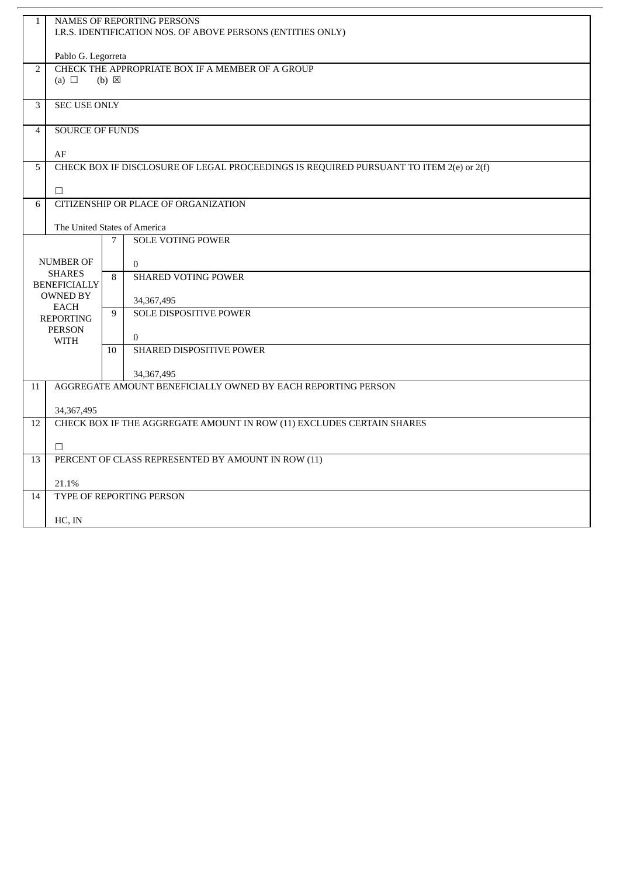| $\mathbf{1}$                                                                                | NAMES OF REPORTING PERSONS<br>I.R.S. IDENTIFICATION NOS. OF ABOVE PERSONS (ENTITIES ONLY) |  |  |  |  |
|---------------------------------------------------------------------------------------------|-------------------------------------------------------------------------------------------|--|--|--|--|
|                                                                                             | Pablo G. Legorreta                                                                        |  |  |  |  |
| CHECK THE APPROPRIATE BOX IF A MEMBER OF A GROUP<br>2                                       |                                                                                           |  |  |  |  |
|                                                                                             | (a) $\Box$<br>$(b) \boxtimes$                                                             |  |  |  |  |
|                                                                                             |                                                                                           |  |  |  |  |
| 3                                                                                           | <b>SEC USE ONLY</b>                                                                       |  |  |  |  |
| $\overline{4}$                                                                              | <b>SOURCE OF FUNDS</b>                                                                    |  |  |  |  |
|                                                                                             |                                                                                           |  |  |  |  |
|                                                                                             | AF                                                                                        |  |  |  |  |
| 5<br>CHECK BOX IF DISCLOSURE OF LEGAL PROCEEDINGS IS REQUIRED PURSUANT TO ITEM 2(e) or 2(f) |                                                                                           |  |  |  |  |
|                                                                                             |                                                                                           |  |  |  |  |
| 6                                                                                           | $\Box$<br>CITIZENSHIP OR PLACE OF ORGANIZATION                                            |  |  |  |  |
|                                                                                             |                                                                                           |  |  |  |  |
| The United States of America                                                                |                                                                                           |  |  |  |  |
|                                                                                             | <b>SOLE VOTING POWER</b><br>7                                                             |  |  |  |  |
|                                                                                             |                                                                                           |  |  |  |  |
|                                                                                             | <b>NUMBER OF</b><br>$\overline{0}$                                                        |  |  |  |  |
|                                                                                             | <b>SHARES</b><br><b>SHARED VOTING POWER</b><br>8<br><b>BENEFICIALLY</b>                   |  |  |  |  |
|                                                                                             | <b>OWNED BY</b>                                                                           |  |  |  |  |
|                                                                                             | 34, 367, 495<br><b>EACH</b><br>9<br><b>SOLE DISPOSITIVE POWER</b>                         |  |  |  |  |
|                                                                                             | <b>REPORTING</b>                                                                          |  |  |  |  |
|                                                                                             | <b>PERSON</b><br>$\theta$                                                                 |  |  |  |  |
|                                                                                             | <b>WITH</b><br>SHARED DISPOSITIVE POWER<br>10 <sup>1</sup>                                |  |  |  |  |
|                                                                                             |                                                                                           |  |  |  |  |
|                                                                                             | 34, 367, 495                                                                              |  |  |  |  |
| 11                                                                                          | AGGREGATE AMOUNT BENEFICIALLY OWNED BY EACH REPORTING PERSON                              |  |  |  |  |
|                                                                                             |                                                                                           |  |  |  |  |
|                                                                                             | 34, 367, 495<br>CHECK BOX IF THE AGGREGATE AMOUNT IN ROW (11) EXCLUDES CERTAIN SHARES     |  |  |  |  |
| 12                                                                                          |                                                                                           |  |  |  |  |
|                                                                                             | $\Box$                                                                                    |  |  |  |  |
| 13                                                                                          | PERCENT OF CLASS REPRESENTED BY AMOUNT IN ROW (11)                                        |  |  |  |  |
|                                                                                             |                                                                                           |  |  |  |  |
|                                                                                             | 21.1%                                                                                     |  |  |  |  |
| 14                                                                                          | TYPE OF REPORTING PERSON                                                                  |  |  |  |  |
|                                                                                             |                                                                                           |  |  |  |  |
|                                                                                             | HC, IN                                                                                    |  |  |  |  |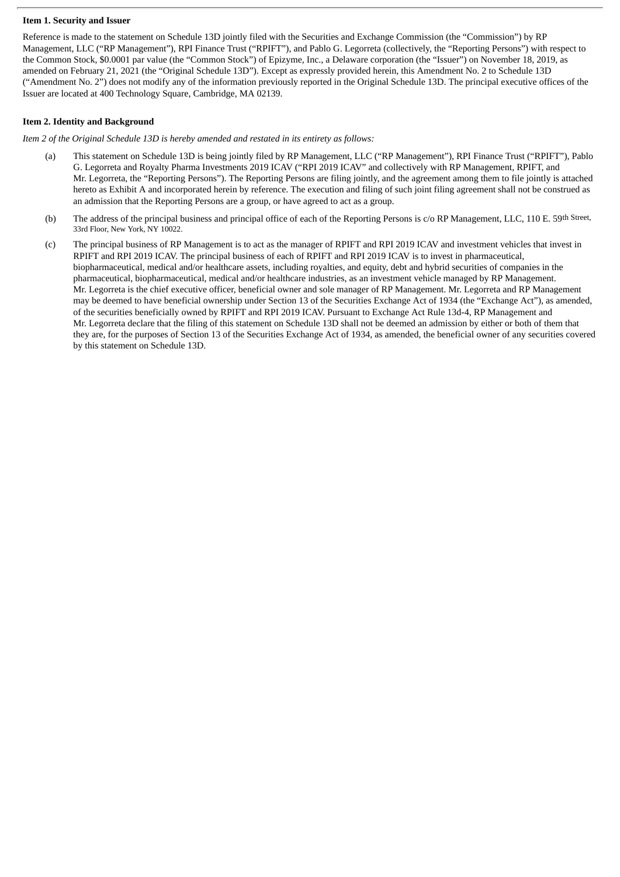## **Item 1. Security and Issuer**

Reference is made to the statement on Schedule 13D jointly filed with the Securities and Exchange Commission (the "Commission") by RP Management, LLC ("RP Management"), RPI Finance Trust ("RPIFT"), and Pablo G. Legorreta (collectively, the "Reporting Persons") with respect to the Common Stock, \$0.0001 par value (the "Common Stock") of Epizyme, Inc., a Delaware corporation (the "Issuer") on November 18, 2019, as amended on February 21, 2021 (the "Original Schedule 13D"). Except as expressly provided herein, this Amendment No. 2 to Schedule 13D ("Amendment No. 2") does not modify any of the information previously reported in the Original Schedule 13D. The principal executive offices of the Issuer are located at 400 Technology Square, Cambridge, MA 02139.

# **Item 2. Identity and Background**

*Item 2 of the Original Schedule 13D is hereby amended and restated in its entirety as follows:*

- (a) This statement on Schedule 13D is being jointly filed by RP Management, LLC ("RP Management"), RPI Finance Trust ("RPIFT"), Pablo G. Legorreta and Royalty Pharma Investments 2019 ICAV ("RPI 2019 ICAV" and collectively with RP Management, RPIFT, and Mr. Legorreta, the "Reporting Persons"). The Reporting Persons are filing jointly, and the agreement among them to file jointly is attached hereto as Exhibit A and incorporated herein by reference. The execution and filing of such joint filing agreement shall not be construed as an admission that the Reporting Persons are a group, or have agreed to act as a group.
- (b) The address of the principal business and principal office of each of the Reporting Persons is c/o RP Management, LLC, 110 E. 59th Street, 33rd Floor, New York, NY 10022.
- (c) The principal business of RP Management is to act as the manager of RPIFT and RPI 2019 ICAV and investment vehicles that invest in RPIFT and RPI 2019 ICAV. The principal business of each of RPIFT and RPI 2019 ICAV is to invest in pharmaceutical, biopharmaceutical, medical and/or healthcare assets, including royalties, and equity, debt and hybrid securities of companies in the pharmaceutical, biopharmaceutical, medical and/or healthcare industries, as an investment vehicle managed by RP Management. Mr. Legorreta is the chief executive officer, beneficial owner and sole manager of RP Management. Mr. Legorreta and RP Management may be deemed to have beneficial ownership under Section 13 of the Securities Exchange Act of 1934 (the "Exchange Act"), as amended, of the securities beneficially owned by RPIFT and RPI 2019 ICAV. Pursuant to Exchange Act Rule 13d-4, RP Management and Mr. Legorreta declare that the filing of this statement on Schedule 13D shall not be deemed an admission by either or both of them that they are, for the purposes of Section 13 of the Securities Exchange Act of 1934, as amended, the beneficial owner of any securities covered by this statement on Schedule 13D.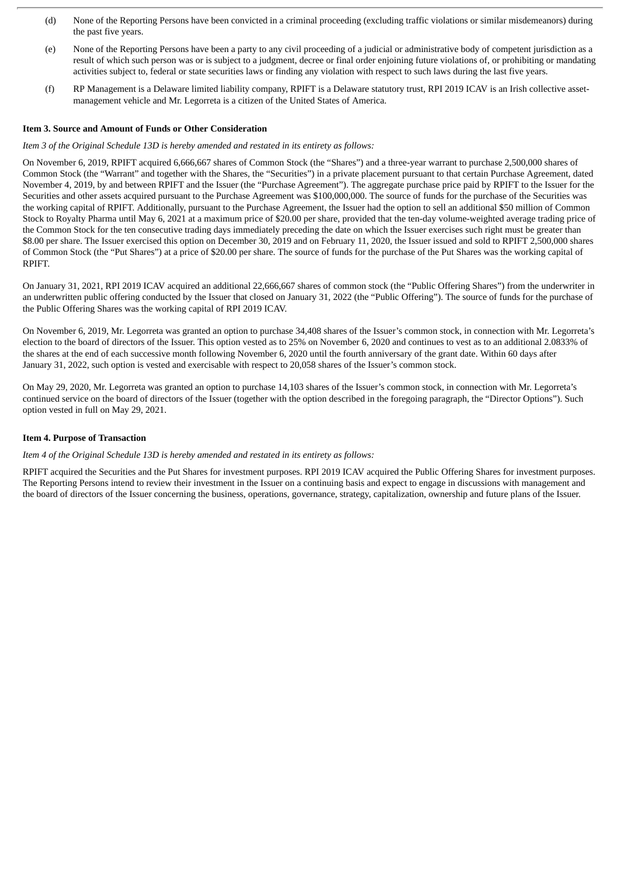- (d) None of the Reporting Persons have been convicted in a criminal proceeding (excluding traffic violations or similar misdemeanors) during the past five years.
- (e) None of the Reporting Persons have been a party to any civil proceeding of a judicial or administrative body of competent jurisdiction as a result of which such person was or is subject to a judgment, decree or final order enjoining future violations of, or prohibiting or mandating activities subject to, federal or state securities laws or finding any violation with respect to such laws during the last five years.
- (f) RP Management is a Delaware limited liability company, RPIFT is a Delaware statutory trust, RPI 2019 ICAV is an Irish collective assetmanagement vehicle and Mr. Legorreta is a citizen of the United States of America.

### **Item 3. Source and Amount of Funds or Other Consideration**

*Item 3 of the Original Schedule 13D is hereby amended and restated in its entirety as follows:*

On November 6, 2019, RPIFT acquired 6,666,667 shares of Common Stock (the "Shares") and a three-year warrant to purchase 2,500,000 shares of Common Stock (the "Warrant" and together with the Shares, the "Securities") in a private placement pursuant to that certain Purchase Agreement, dated November 4, 2019, by and between RPIFT and the Issuer (the "Purchase Agreement"). The aggregate purchase price paid by RPIFT to the Issuer for the Securities and other assets acquired pursuant to the Purchase Agreement was \$100,000,000. The source of funds for the purchase of the Securities was the working capital of RPIFT. Additionally, pursuant to the Purchase Agreement, the Issuer had the option to sell an additional \$50 million of Common Stock to Royalty Pharma until May 6, 2021 at a maximum price of \$20.00 per share, provided that the ten-day volume-weighted average trading price of the Common Stock for the ten consecutive trading days immediately preceding the date on which the Issuer exercises such right must be greater than \$8.00 per share. The Issuer exercised this option on December 30, 2019 and on February 11, 2020, the Issuer issued and sold to RPIFT 2,500,000 shares of Common Stock (the "Put Shares") at a price of \$20.00 per share. The source of funds for the purchase of the Put Shares was the working capital of RPIFT.

On January 31, 2021, RPI 2019 ICAV acquired an additional 22,666,667 shares of common stock (the "Public Offering Shares") from the underwriter in an underwritten public offering conducted by the Issuer that closed on January 31, 2022 (the "Public Offering"). The source of funds for the purchase of the Public Offering Shares was the working capital of RPI 2019 ICAV.

On November 6, 2019, Mr. Legorreta was granted an option to purchase 34,408 shares of the Issuer's common stock, in connection with Mr. Legorreta's election to the board of directors of the Issuer. This option vested as to 25% on November 6, 2020 and continues to vest as to an additional 2.0833% of the shares at the end of each successive month following November 6, 2020 until the fourth anniversary of the grant date. Within 60 days after January 31, 2022, such option is vested and exercisable with respect to 20,058 shares of the Issuer's common stock.

On May 29, 2020, Mr. Legorreta was granted an option to purchase 14,103 shares of the Issuer's common stock, in connection with Mr. Legorreta's continued service on the board of directors of the Issuer (together with the option described in the foregoing paragraph, the "Director Options"). Such option vested in full on May 29, 2021.

### **Item 4. Purpose of Transaction**

*Item 4 of the Original Schedule 13D is hereby amended and restated in its entirety as follows:*

RPIFT acquired the Securities and the Put Shares for investment purposes. RPI 2019 ICAV acquired the Public Offering Shares for investment purposes. The Reporting Persons intend to review their investment in the Issuer on a continuing basis and expect to engage in discussions with management and the board of directors of the Issuer concerning the business, operations, governance, strategy, capitalization, ownership and future plans of the Issuer.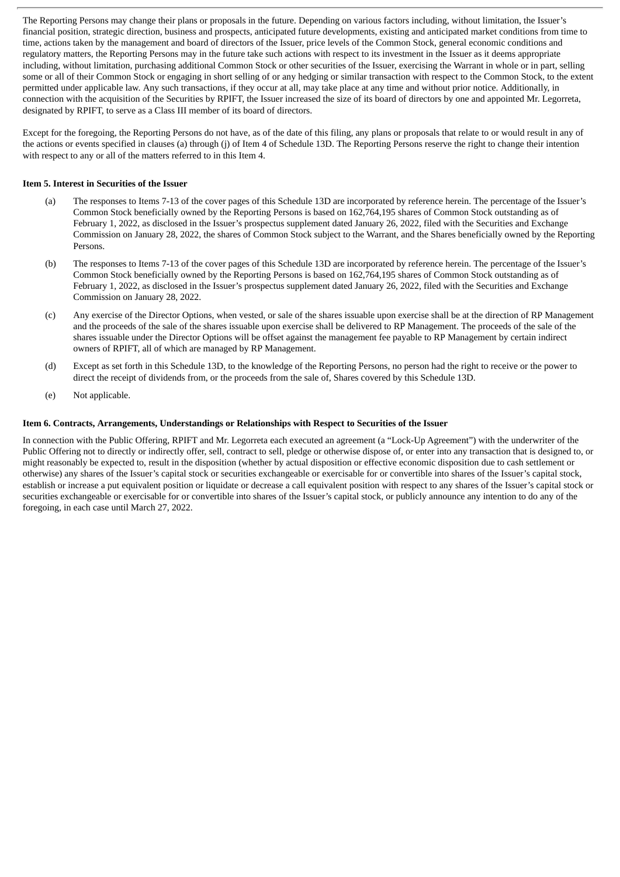The Reporting Persons may change their plans or proposals in the future. Depending on various factors including, without limitation, the Issuer's financial position, strategic direction, business and prospects, anticipated future developments, existing and anticipated market conditions from time to time, actions taken by the management and board of directors of the Issuer, price levels of the Common Stock, general economic conditions and regulatory matters, the Reporting Persons may in the future take such actions with respect to its investment in the Issuer as it deems appropriate including, without limitation, purchasing additional Common Stock or other securities of the Issuer, exercising the Warrant in whole or in part, selling some or all of their Common Stock or engaging in short selling of or any hedging or similar transaction with respect to the Common Stock, to the extent permitted under applicable law. Any such transactions, if they occur at all, may take place at any time and without prior notice. Additionally, in connection with the acquisition of the Securities by RPIFT, the Issuer increased the size of its board of directors by one and appointed Mr. Legorreta, designated by RPIFT, to serve as a Class III member of its board of directors.

Except for the foregoing, the Reporting Persons do not have, as of the date of this filing, any plans or proposals that relate to or would result in any of the actions or events specified in clauses (a) through (j) of Item 4 of Schedule 13D. The Reporting Persons reserve the right to change their intention with respect to any or all of the matters referred to in this Item 4.

# **Item 5. Interest in Securities of the Issuer**

- (a) The responses to Items 7-13 of the cover pages of this Schedule 13D are incorporated by reference herein. The percentage of the Issuer's Common Stock beneficially owned by the Reporting Persons is based on 162,764,195 shares of Common Stock outstanding as of February 1, 2022, as disclosed in the Issuer's prospectus supplement dated January 26, 2022, filed with the Securities and Exchange Commission on January 28, 2022, the shares of Common Stock subject to the Warrant, and the Shares beneficially owned by the Reporting Persons.
- (b) The responses to Items 7-13 of the cover pages of this Schedule 13D are incorporated by reference herein. The percentage of the Issuer's Common Stock beneficially owned by the Reporting Persons is based on 162,764,195 shares of Common Stock outstanding as of February 1, 2022, as disclosed in the Issuer's prospectus supplement dated January 26, 2022, filed with the Securities and Exchange Commission on January 28, 2022.
- (c) Any exercise of the Director Options, when vested, or sale of the shares issuable upon exercise shall be at the direction of RP Management and the proceeds of the sale of the shares issuable upon exercise shall be delivered to RP Management. The proceeds of the sale of the shares issuable under the Director Options will be offset against the management fee payable to RP Management by certain indirect owners of RPIFT, all of which are managed by RP Management.
- (d) Except as set forth in this Schedule 13D, to the knowledge of the Reporting Persons, no person had the right to receive or the power to direct the receipt of dividends from, or the proceeds from the sale of, Shares covered by this Schedule 13D.
- (e) Not applicable.

#### **Item 6. Contracts, Arrangements, Understandings or Relationships with Respect to Securities of the Issuer**

In connection with the Public Offering, RPIFT and Mr. Legorreta each executed an agreement (a "Lock-Up Agreement") with the underwriter of the Public Offering not to directly or indirectly offer, sell, contract to sell, pledge or otherwise dispose of, or enter into any transaction that is designed to, or might reasonably be expected to, result in the disposition (whether by actual disposition or effective economic disposition due to cash settlement or otherwise) any shares of the Issuer's capital stock or securities exchangeable or exercisable for or convertible into shares of the Issuer's capital stock, establish or increase a put equivalent position or liquidate or decrease a call equivalent position with respect to any shares of the Issuer's capital stock or securities exchangeable or exercisable for or convertible into shares of the Issuer's capital stock, or publicly announce any intention to do any of the foregoing, in each case until March 27, 2022.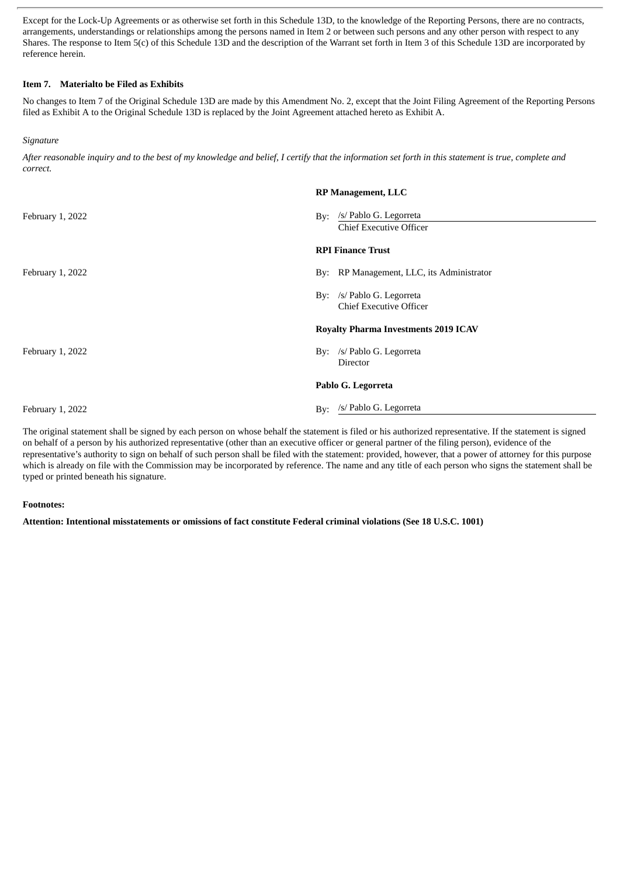Except for the Lock-Up Agreements or as otherwise set forth in this Schedule 13D, to the knowledge of the Reporting Persons, there are no contracts, arrangements, understandings or relationships among the persons named in Item 2 or between such persons and any other person with respect to any Shares. The response to Item 5(c) of this Schedule 13D and the description of the Warrant set forth in Item 3 of this Schedule 13D are incorporated by reference herein.

### **Item 7. Materialto be Filed as Exhibits**

No changes to Item 7 of the Original Schedule 13D are made by this Amendment No. 2, except that the Joint Filing Agreement of the Reporting Persons filed as Exhibit A to the Original Schedule 13D is replaced by the Joint Agreement attached hereto as Exhibit A.

#### *Signature*

After reasonable inquiry and to the best of my knowledge and belief, I certify that the information set forth in this statement is true, complete and *correct.*

|                  | <b>RP Management, LLC</b>                                              |
|------------------|------------------------------------------------------------------------|
| February 1, 2022 | /s/ Pablo G. Legorreta<br>$\rm\,By:$<br><b>Chief Executive Officer</b> |
|                  | <b>RPI Finance Trust</b>                                               |
| February 1, 2022 | By: RP Management, LLC, its Administrator                              |
|                  | /s/ Pablo G. Legorreta<br>By:<br><b>Chief Executive Officer</b>        |
|                  | <b>Royalty Pharma Investments 2019 ICAV</b>                            |
| February 1, 2022 | By: /s/ Pablo G. Legorreta<br>Director                                 |
|                  | Pablo G. Legorreta                                                     |
| February 1, 2022 | /s/ Pablo G. Legorreta<br>$\mathbf{By:}$                               |

The original statement shall be signed by each person on whose behalf the statement is filed or his authorized representative. If the statement is signed on behalf of a person by his authorized representative (other than an executive officer or general partner of the filing person), evidence of the representative's authority to sign on behalf of such person shall be filed with the statement: provided, however, that a power of attorney for this purpose which is already on file with the Commission may be incorporated by reference. The name and any title of each person who signs the statement shall be typed or printed beneath his signature.

#### **Footnotes:**

**Attention: Intentional misstatements or omissions of fact constitute Federal criminal violations (See 18 U.S.C. 1001)**